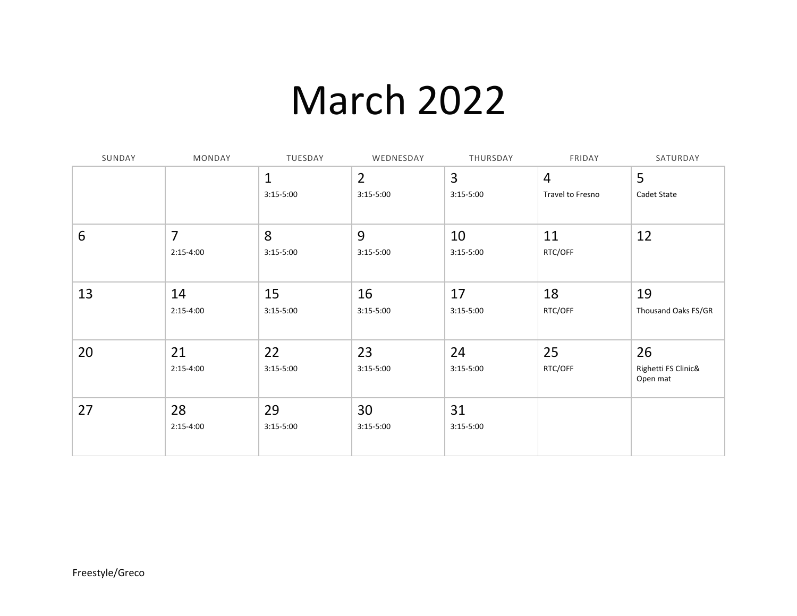## March 2022

| SUNDAY | MONDAY         | TUESDAY      | WEDNESDAY      | THURSDAY      | FRIDAY           | SATURDAY                        |
|--------|----------------|--------------|----------------|---------------|------------------|---------------------------------|
|        |                | $\mathbf{1}$ | $\overline{2}$ | 3             | $\overline{4}$   | 5                               |
|        |                | $3:15-5:00$  | $3:15-5:00$    | $3:15 - 5:00$ | Travel to Fresno | Cadet State                     |
|        |                |              |                |               |                  |                                 |
| 6      | $\overline{7}$ | 8            | 9              | 10            | 11               | 12                              |
|        | $2:15-4:00$    | $3:15-5:00$  | $3:15 - 5:00$  | $3:15-5:00$   | RTC/OFF          |                                 |
|        |                |              |                |               |                  |                                 |
| 13     | 14             | 15           | 16             | 17            | 18               | 19                              |
|        | $2:15-4:00$    | $3:15-5:00$  | $3:15-5:00$    | $3:15-5:00$   | RTC/OFF          | Thousand Oaks FS/GR             |
|        |                |              |                |               |                  |                                 |
| 20     | 21             | 22           | 23             | 24            | 25               | 26                              |
|        | $2:15-4:00$    | $3:15-5:00$  | $3:15-5:00$    | $3:15-5:00$   | RTC/OFF          | Righetti FS Clinic&<br>Open mat |
| 27     | 28             | 29           | 30             | 31            |                  |                                 |
|        | $2:15-4:00$    | $3:15-5:00$  | $3:15-5:00$    | $3:15 - 5:00$ |                  |                                 |
|        |                |              |                |               |                  |                                 |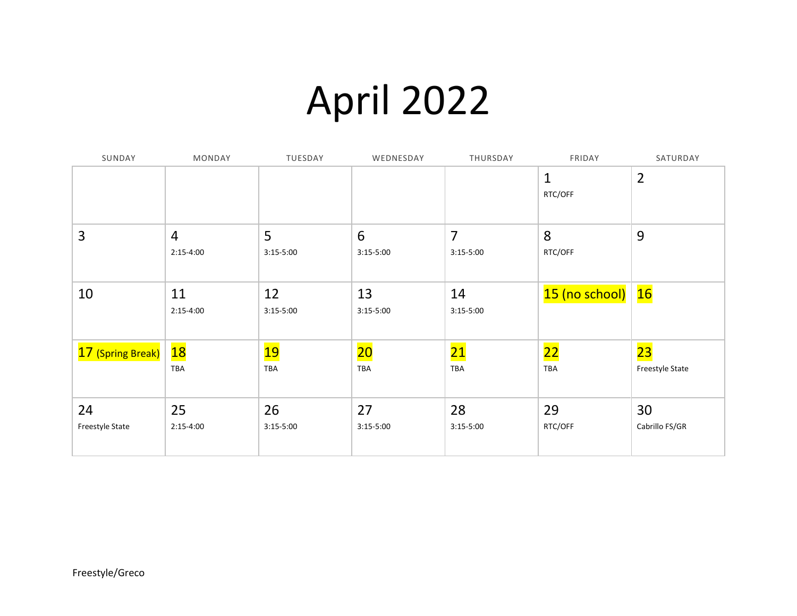## April 2022

| SUNDAY            | MONDAY         | TUESDAY       | WEDNESDAY                | THURSDAY        | FRIDAY                  | SATURDAY        |
|-------------------|----------------|---------------|--------------------------|-----------------|-------------------------|-----------------|
|                   |                |               |                          |                 | $\mathbf{1}$<br>RTC/OFF | $\overline{2}$  |
|                   |                |               |                          |                 |                         |                 |
| 3                 | $\overline{4}$ | 5             | 6                        | $\overline{7}$  | 8                       | 9               |
|                   | $2:15-4:00$    | $3:15-5:00$   | $3:15-5:00$              | $3:15-5:00$     | RTC/OFF                 |                 |
|                   |                |               |                          |                 |                         |                 |
| 10                | 11             | 12            | 13                       | 14              | 15 (no school)          | 16              |
|                   | $2:15-4:00$    | $3:15 - 5:00$ | $3:15-5:00$              | $3:15-5:00$     |                         |                 |
| 17 (Spring Break) | 18             | <u> 19</u>    | $\overline{\mathbf{20}}$ | <mark>21</mark> | <b>22</b>               | 23              |
|                   | TBA            | TBA           | TBA                      | TBA             | TBA                     | Freestyle State |
| 24                | 25             | 26            | 27                       | 28              | 29                      | 30              |
| Freestyle State   | $2:15-4:00$    | $3:15-5:00$   | $3:15-5:00$              | $3:15-5:00$     | RTC/OFF                 | Cabrillo FS/GR  |
|                   |                |               |                          |                 |                         |                 |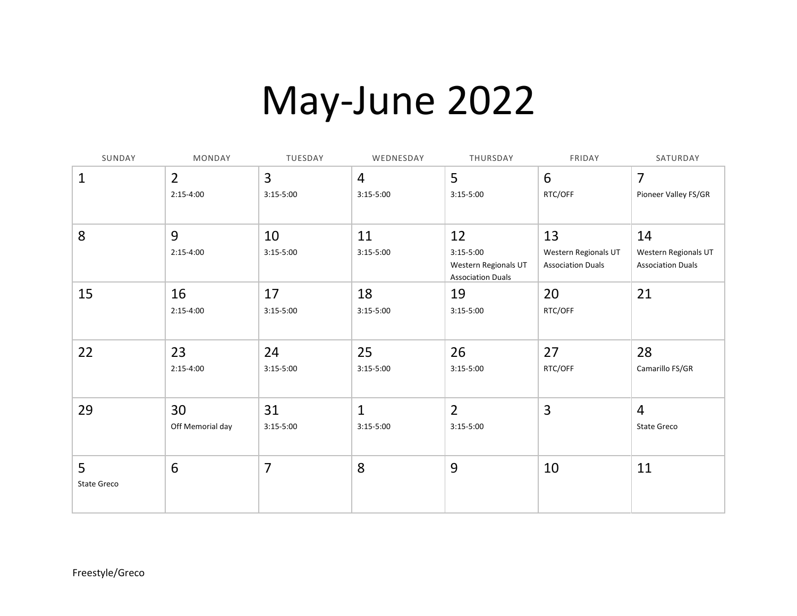## May-June 2022

| SUNDAY           | MONDAY                        | TUESDAY           | WEDNESDAY                     | THURSDAY                                                              | FRIDAY                                                 | SATURDAY                                               |
|------------------|-------------------------------|-------------------|-------------------------------|-----------------------------------------------------------------------|--------------------------------------------------------|--------------------------------------------------------|
| $\mathbf 1$      | $\overline{2}$<br>$2:15-4:00$ | 3<br>$3:15-5:00$  | $\overline{4}$<br>$3:15-5:00$ | 5<br>$3:15-5:00$                                                      | 6<br>RTC/OFF                                           | 7<br>Pioneer Valley FS/GR                              |
| 8                | 9<br>$2:15-4:00$              | 10<br>$3:15-5:00$ | 11<br>$3:15-5:00$             | 12<br>$3:15-5:00$<br>Western Regionals UT<br><b>Association Duals</b> | 13<br>Western Regionals UT<br><b>Association Duals</b> | 14<br>Western Regionals UT<br><b>Association Duals</b> |
| 15               | 16<br>$2:15-4:00$             | 17<br>$3:15-5:00$ | 18<br>$3:15-5:00$             | 19<br>$3:15-5:00$                                                     | 20<br>RTC/OFF                                          | 21                                                     |
| 22               | 23<br>$2:15-4:00$             | 24<br>$3:15-5:00$ | 25<br>$3:15-5:00$             | 26<br>$3:15-5:00$                                                     | 27<br>RTC/OFF                                          | 28<br>Camarillo FS/GR                                  |
| 29               | 30<br>Off Memorial day        | 31<br>$3:15-5:00$ | $\mathbf{1}$<br>$3:15-5:00$   | $\overline{2}$<br>$3:15-5:00$                                         | 3                                                      | $\overline{4}$<br><b>State Greco</b>                   |
| 5<br>State Greco | 6                             | $\overline{7}$    | 8                             | 9                                                                     | 10                                                     | 11                                                     |